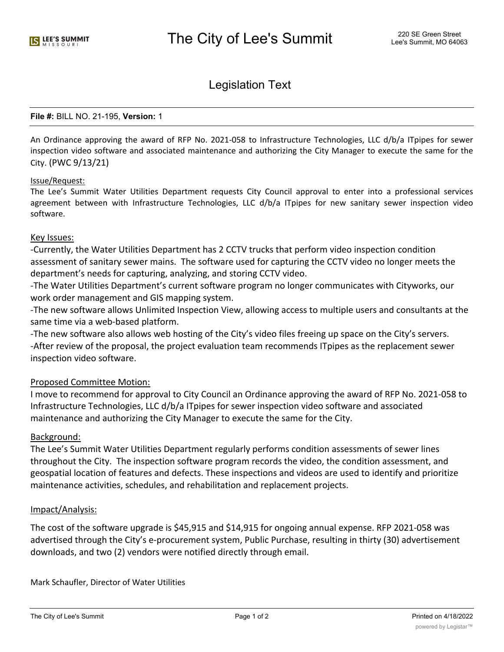# Legislation Text

#### **File #:** BILL NO. 21-195, **Version:** 1

An Ordinance approving the award of RFP No. 2021-058 to Infrastructure Technologies, LLC d/b/a ITpipes for sewer inspection video software and associated maintenance and authorizing the City Manager to execute the same for the City. (PWC 9/13/21)

#### Issue/Request:

The Lee's Summit Water Utilities Department requests City Council approval to enter into a professional services agreement between with Infrastructure Technologies, LLC d/b/a ITpipes for new sanitary sewer inspection video software.

### Key Issues:

-Currently, the Water Utilities Department has 2 CCTV trucks that perform video inspection condition assessment of sanitary sewer mains. The software used for capturing the CCTV video no longer meets the department's needs for capturing, analyzing, and storing CCTV video.

-The Water Utilities Department's current software program no longer communicates with Cityworks, our work order management and GIS mapping system.

-The new software allows Unlimited Inspection View, allowing access to multiple users and consultants at the same time via a web-based platform.

-The new software also allows web hosting of the City's video files freeing up space on the City's servers. -After review of the proposal, the project evaluation team recommends ITpipes as the replacement sewer inspection video software.

### Proposed Committee Motion:

I move to recommend for approval to City Council an Ordinance approving the award of RFP No. 2021-058 to Infrastructure Technologies, LLC d/b/a ITpipes for sewer inspection video software and associated maintenance and authorizing the City Manager to execute the same for the City.

### Background:

The Lee's Summit Water Utilities Department regularly performs condition assessments of sewer lines throughout the City. The inspection software program records the video, the condition assessment, and geospatial location of features and defects. These inspections and videos are used to identify and prioritize maintenance activities, schedules, and rehabilitation and replacement projects.

### Impact/Analysis:

The cost of the software upgrade is \$45,915 and \$14,915 for ongoing annual expense. RFP 2021-058 was advertised through the City's e-procurement system, Public Purchase, resulting in thirty (30) advertisement downloads, and two (2) vendors were notified directly through email.

Mark Schaufler, Director of Water Utilities